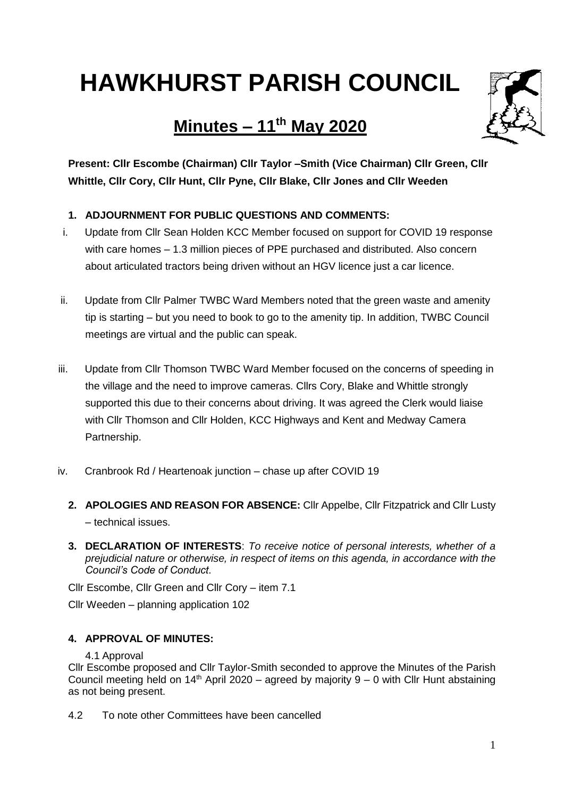# **HAWKHURST PARISH COUNCIL**

# **Minutes – 11 th May 2020**



**Present: Cllr Escombe (Chairman) Cllr Taylor –Smith (Vice Chairman) Cllr Green, Cllr Whittle, Cllr Cory, Cllr Hunt, Cllr Pyne, Cllr Blake, Cllr Jones and Cllr Weeden**

### **1. ADJOURNMENT FOR PUBLIC QUESTIONS AND COMMENTS:**

- i. Update from Cllr Sean Holden KCC Member focused on support for COVID 19 response with care homes – 1.3 million pieces of PPE purchased and distributed. Also concern about articulated tractors being driven without an HGV licence just a car licence.
- ii. Update from Cllr Palmer TWBC Ward Members noted that the green waste and amenity tip is starting – but you need to book to go to the amenity tip. In addition, TWBC Council meetings are virtual and the public can speak.
- iii. Update from Cllr Thomson TWBC Ward Member focused on the concerns of speeding in the village and the need to improve cameras. Cllrs Cory, Blake and Whittle strongly supported this due to their concerns about driving. It was agreed the Clerk would liaise with Cllr Thomson and Cllr Holden, KCC Highways and Kent and Medway Camera Partnership.
- iv. Cranbrook Rd / Heartenoak junction chase up after COVID 19
	- **2. APOLOGIES AND REASON FOR ABSENCE:** Cllr Appelbe, Cllr Fitzpatrick and Cllr Lusty – technical issues.
	- **3. DECLARATION OF INTERESTS**: *To receive notice of personal interests, whether of a prejudicial nature or otherwise, in respect of items on this agenda, in accordance with the Council's Code of Conduct.*

Cllr Escombe, Cllr Green and Cllr Cory – item 7.1

Cllr Weeden – planning application 102

#### **4. APPROVAL OF MINUTES:**

#### 4.1 Approval

Cllr Escombe proposed and Cllr Taylor-Smith seconded to approve the Minutes of the Parish Council meeting held on  $14<sup>th</sup>$  April 2020 – agreed by majority 9 – 0 with Cllr Hunt abstaining as not being present.

4.2 To note other Committees have been cancelled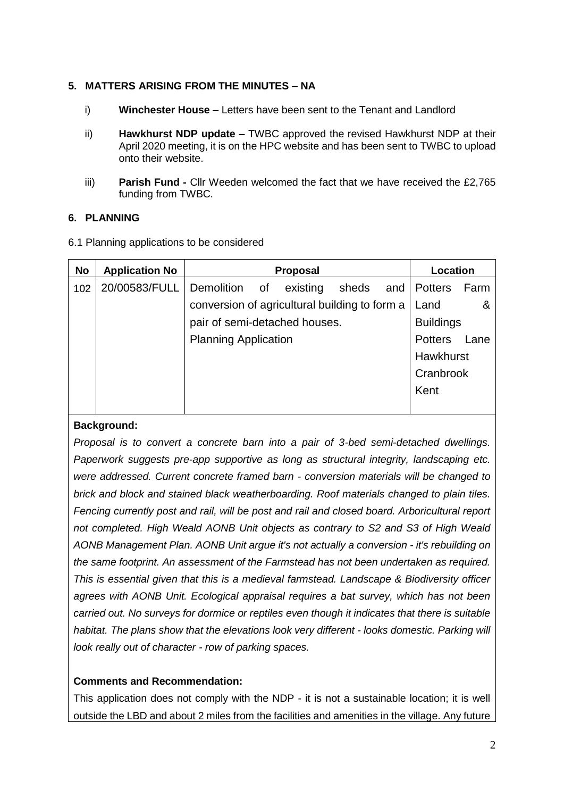#### **5. MATTERS ARISING FROM THE MINUTES – NA**

- i) **Winchester House –** Letters have been sent to the Tenant and Landlord
- ii) **Hawkhurst NDP update –** TWBC approved the revised Hawkhurst NDP at their April 2020 meeting, it is on the HPC website and has been sent to TWBC to upload onto their website.
- iii) **Parish Fund -** Cllr Weeden welcomed the fact that we have received the £2,765 funding from TWBC.

#### **6. PLANNING**

6.1 Planning applications to be considered

| No  | <b>Application No</b> | <b>Proposal</b>                               | Location         |      |
|-----|-----------------------|-----------------------------------------------|------------------|------|
| 102 | 20/00583/FULL         | Demolition of<br>existing<br>sheds and        | <b>Potters</b>   | Farm |
|     |                       | conversion of agricultural building to form a | Land             |      |
|     |                       | pair of semi-detached houses.                 | <b>Buildings</b> |      |
|     |                       | <b>Planning Application</b>                   | <b>Potters</b>   | Lane |
|     |                       |                                               | <b>Hawkhurst</b> |      |
|     |                       |                                               | Cranbrook        |      |
|     |                       |                                               | Kent             |      |
|     |                       |                                               |                  |      |

#### **Background:**

*Proposal is to convert a concrete barn into a pair of 3-bed semi-detached dwellings. Paperwork suggests pre-app supportive as long as structural integrity, landscaping etc. were addressed. Current concrete framed barn - conversion materials will be changed to brick and block and stained black weatherboarding. Roof materials changed to plain tiles. Fencing currently post and rail, will be post and rail and closed board. Arboricultural report not completed. High Weald AONB Unit objects as contrary to S2 and S3 of High Weald AONB Management Plan. AONB Unit argue it's not actually a conversion - it's rebuilding on the same footprint. An assessment of the Farmstead has not been undertaken as required. This is essential given that this is a medieval farmstead. Landscape & Biodiversity officer agrees with AONB Unit. Ecological appraisal requires a bat survey, which has not been carried out. No surveys for dormice or reptiles even though it indicates that there is suitable habitat. The plans show that the elevations look very different - looks domestic. Parking will look really out of character - row of parking spaces.*

#### **Comments and Recommendation:**

This application does not comply with the NDP - it is not a sustainable location; it is well outside the LBD and about 2 miles from the facilities and amenities in the village. Any future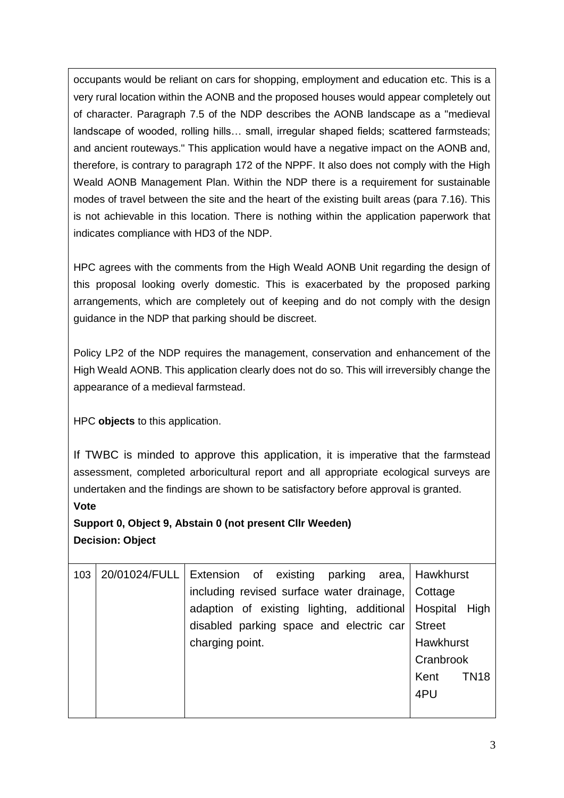occupants would be reliant on cars for shopping, employment and education etc. This is a very rural location within the AONB and the proposed houses would appear completely out of character. Paragraph 7.5 of the NDP describes the AONB landscape as a "medieval landscape of wooded, rolling hills… small, irregular shaped fields; scattered farmsteads; and ancient routeways." This application would have a negative impact on the AONB and, therefore, is contrary to paragraph 172 of the NPPF. It also does not comply with the High Weald AONB Management Plan. Within the NDP there is a requirement for sustainable modes of travel between the site and the heart of the existing built areas (para 7.16). This is not achievable in this location. There is nothing within the application paperwork that indicates compliance with HD3 of the NDP.

HPC agrees with the comments from the High Weald AONB Unit regarding the design of this proposal looking overly domestic. This is exacerbated by the proposed parking arrangements, which are completely out of keeping and do not comply with the design guidance in the NDP that parking should be discreet.

Policy LP2 of the NDP requires the management, conservation and enhancement of the High Weald AONB. This application clearly does not do so. This will irreversibly change the appearance of a medieval farmstead.

HPC **objects** to this application.

If TWBC is minded to approve this application, it is imperative that the farmstead assessment, completed arboricultural report and all appropriate ecological surveys are undertaken and the findings are shown to be satisfactory before approval is granted.

#### **Vote**

## **Support 0, Object 9, Abstain 0 (not present Cllr Weeden) Decision: Object**

| 103 | 20/01024/FULL   Extension of existing parking area,   Hawkhurst |                     |
|-----|-----------------------------------------------------------------|---------------------|
|     | including revised surface water drainage,   Cottage             |                     |
|     | adaption of existing lighting, additional Hospital High         |                     |
|     | disabled parking space and electric car                         | <b>Street</b>       |
|     | charging point.                                                 | <b>Hawkhurst</b>    |
|     |                                                                 | Cranbrook           |
|     |                                                                 | <b>TN18</b><br>Kent |
|     |                                                                 | 4PU                 |
|     |                                                                 |                     |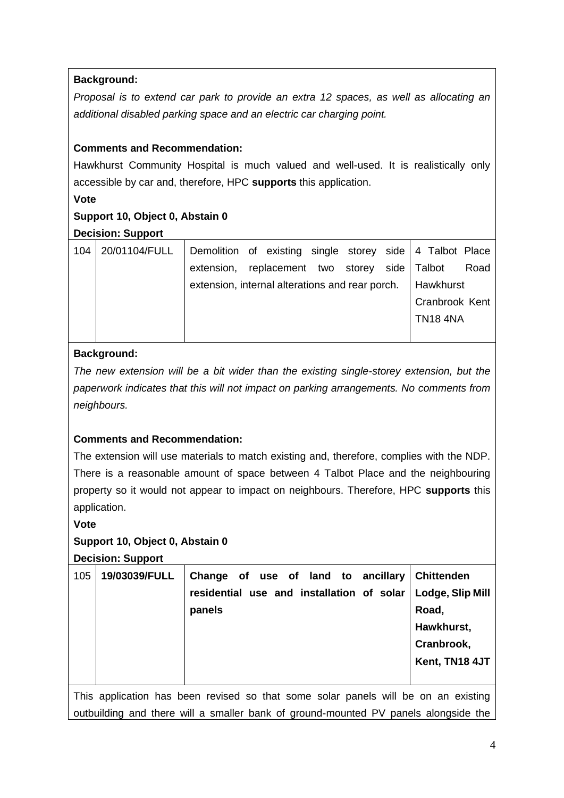#### **Background:**

*Proposal is to extend car park to provide an extra 12 spaces, as well as allocating an additional disabled parking space and an electric car charging point.*

#### **Comments and Recommendation:**

Hawkhurst Community Hospital is much valued and well-used. It is realistically only accessible by car and, therefore, HPC **supports** this application.

#### **Vote**

#### **Support 10, Object 0, Abstain 0**

#### **Decision: Support**

| 104 | 20/01104/FULL | Demolition of existing single storey side 4 Talbot Place |  |  |  |                 |                |
|-----|---------------|----------------------------------------------------------|--|--|--|-----------------|----------------|
|     |               | extension, replacement two storey side Talbot            |  |  |  |                 | Road           |
|     |               | extension, internal alterations and rear porch.          |  |  |  | Hawkhurst       |                |
|     |               |                                                          |  |  |  |                 | Cranbrook Kent |
|     |               |                                                          |  |  |  | <b>TN18 4NA</b> |                |
|     |               |                                                          |  |  |  |                 |                |

#### **Background:**

*The new extension will be a bit wider than the existing single-storey extension, but the paperwork indicates that this will not impact on parking arrangements. No comments from neighbours.*

#### **Comments and Recommendation:**

The extension will use materials to match existing and, therefore, complies with the NDP. There is a reasonable amount of space between 4 Talbot Place and the neighbouring property so it would not appear to impact on neighbours. Therefore, HPC **supports** this application.

#### **Vote**

#### **Support 10, Object 0, Abstain 0**

**Decision: Support**

|     |               |                                                                        | Hawkhurst,<br>Cranbrook,<br>Kent, TN18 4JT |
|-----|---------------|------------------------------------------------------------------------|--------------------------------------------|
|     |               | residential use and installation of solar   Lodge, Slip Mill<br>panels | Road,                                      |
| 105 | 19/03039/FULL | Change of use of land to ancillary Chittenden                          |                                            |

This application has been revised so that some solar panels will be on an existing outbuilding and there will a smaller bank of ground-mounted PV panels alongside the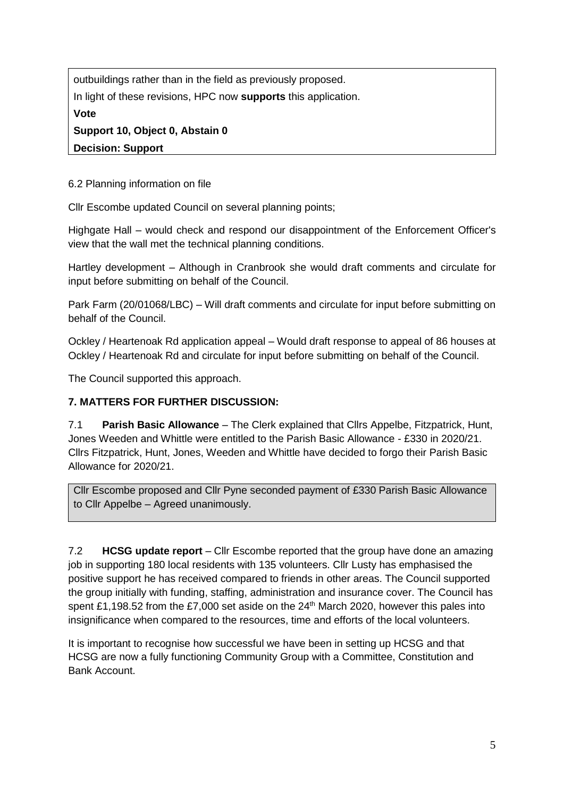outbuildings rather than in the field as previously proposed. In light of these revisions, HPC now **supports** this application. **Vote Support 10, Object 0, Abstain 0 Decision: Support**

6.2 Planning information on file

Cllr Escombe updated Council on several planning points;

Highgate Hall – would check and respond our disappointment of the Enforcement Officer's view that the wall met the technical planning conditions.

Hartley development – Although in Cranbrook she would draft comments and circulate for input before submitting on behalf of the Council.

Park Farm (20/01068/LBC) – Will draft comments and circulate for input before submitting on behalf of the Council.

Ockley / Heartenoak Rd application appeal – Would draft response to appeal of 86 houses at Ockley / Heartenoak Rd and circulate for input before submitting on behalf of the Council.

The Council supported this approach.

#### **7. MATTERS FOR FURTHER DISCUSSION:**

7.1 **Parish Basic Allowance** – The Clerk explained that Cllrs Appelbe, Fitzpatrick, Hunt, Jones Weeden and Whittle were entitled to the Parish Basic Allowance - £330 in 2020/21. Cllrs Fitzpatrick, Hunt, Jones, Weeden and Whittle have decided to forgo their Parish Basic Allowance for 2020/21.

Cllr Escombe proposed and Cllr Pyne seconded payment of £330 Parish Basic Allowance to Cllr Appelbe – Agreed unanimously.

7.2 **HCSG update report** – Cllr Escombe reported that the group have done an amazing job in supporting 180 local residents with 135 volunteers. Cllr Lusty has emphasised the positive support he has received compared to friends in other areas. The Council supported the group initially with funding, staffing, administration and insurance cover. The Council has spent £1,198.52 from the £7,000 set aside on the 24<sup>th</sup> March 2020, however this pales into insignificance when compared to the resources, time and efforts of the local volunteers.

It is important to recognise how successful we have been in setting up HCSG and that HCSG are now a fully functioning Community Group with a Committee, Constitution and Bank Account.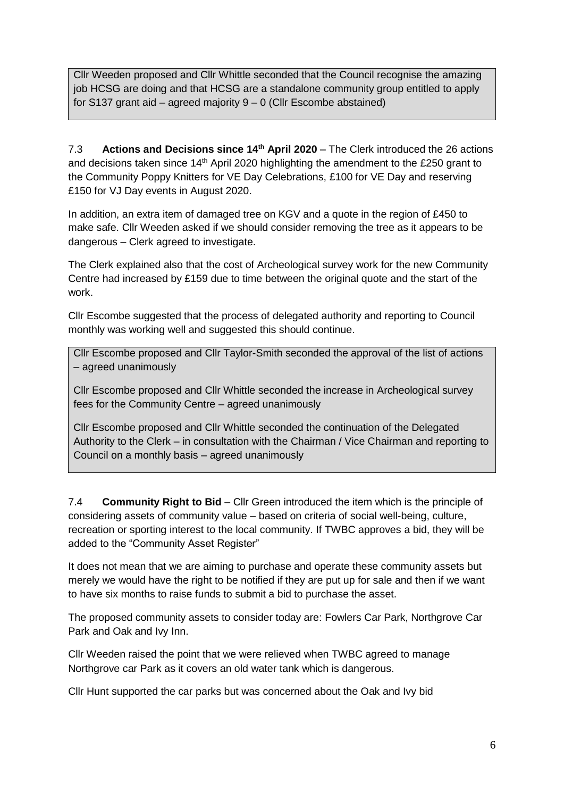Cllr Weeden proposed and Cllr Whittle seconded that the Council recognise the amazing job HCSG are doing and that HCSG are a standalone community group entitled to apply for S137 grant aid – agreed majority 9 – 0 (Cllr Escombe abstained)

7.3 **Actions and Decisions since 14th April 2020** – The Clerk introduced the 26 actions and decisions taken since 14<sup>th</sup> April 2020 highlighting the amendment to the £250 grant to the Community Poppy Knitters for VE Day Celebrations, £100 for VE Day and reserving £150 for VJ Day events in August 2020.

In addition, an extra item of damaged tree on KGV and a quote in the region of £450 to make safe. Cllr Weeden asked if we should consider removing the tree as it appears to be dangerous – Clerk agreed to investigate.

The Clerk explained also that the cost of Archeological survey work for the new Community Centre had increased by £159 due to time between the original quote and the start of the work.

Cllr Escombe suggested that the process of delegated authority and reporting to Council monthly was working well and suggested this should continue.

Cllr Escombe proposed and Cllr Taylor-Smith seconded the approval of the list of actions – agreed unanimously

Cllr Escombe proposed and Cllr Whittle seconded the increase in Archeological survey fees for the Community Centre – agreed unanimously

Cllr Escombe proposed and Cllr Whittle seconded the continuation of the Delegated Authority to the Clerk – in consultation with the Chairman / Vice Chairman and reporting to Council on a monthly basis – agreed unanimously

7.4 **Community Right to Bid** – Cllr Green introduced the item which is the principle of considering assets of community value – based on criteria of social well-being, culture, recreation or sporting interest to the local community. If TWBC approves a bid, they will be added to the "Community Asset Register"

It does not mean that we are aiming to purchase and operate these community assets but merely we would have the right to be notified if they are put up for sale and then if we want to have six months to raise funds to submit a bid to purchase the asset.

The proposed community assets to consider today are: Fowlers Car Park, Northgrove Car Park and Oak and Ivy Inn.

Cllr Weeden raised the point that we were relieved when TWBC agreed to manage Northgrove car Park as it covers an old water tank which is dangerous.

Cllr Hunt supported the car parks but was concerned about the Oak and Ivy bid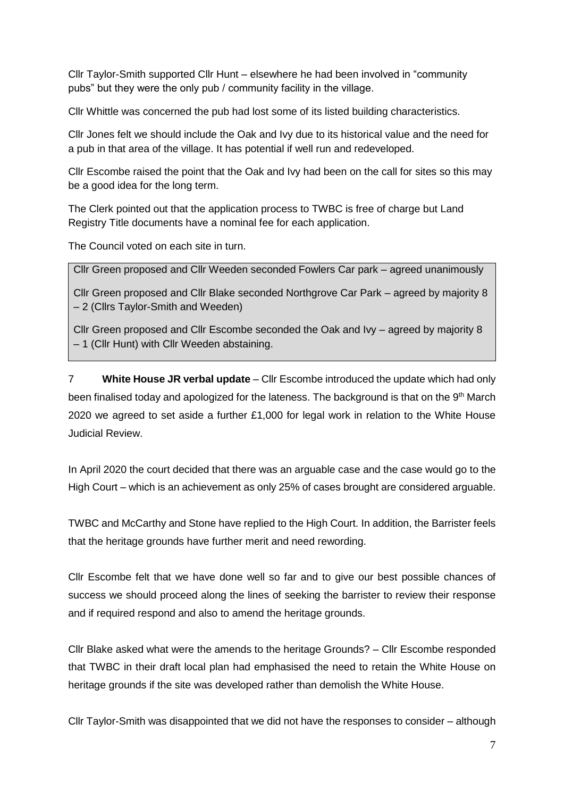Cllr Taylor-Smith supported Cllr Hunt – elsewhere he had been involved in "community pubs" but they were the only pub / community facility in the village.

Cllr Whittle was concerned the pub had lost some of its listed building characteristics.

Cllr Jones felt we should include the Oak and Ivy due to its historical value and the need for a pub in that area of the village. It has potential if well run and redeveloped.

Cllr Escombe raised the point that the Oak and Ivy had been on the call for sites so this may be a good idea for the long term.

The Clerk pointed out that the application process to TWBC is free of charge but Land Registry Title documents have a nominal fee for each application.

The Council voted on each site in turn.

Cllr Green proposed and Cllr Weeden seconded Fowlers Car park – agreed unanimously

Cllr Green proposed and Cllr Blake seconded Northgrove Car Park – agreed by majority 8 – 2 (Cllrs Taylor-Smith and Weeden)

Cllr Green proposed and Cllr Escombe seconded the Oak and Ivy – agreed by majority 8 – 1 (Cllr Hunt) with Cllr Weeden abstaining.

7 **White House JR verbal update** – Cllr Escombe introduced the update which had only been finalised today and apologized for the lateness. The background is that on the 9<sup>th</sup> March 2020 we agreed to set aside a further £1,000 for legal work in relation to the White House Judicial Review.

In April 2020 the court decided that there was an arguable case and the case would go to the High Court – which is an achievement as only 25% of cases brought are considered arguable.

TWBC and McCarthy and Stone have replied to the High Court. In addition, the Barrister feels that the heritage grounds have further merit and need rewording.

Cllr Escombe felt that we have done well so far and to give our best possible chances of success we should proceed along the lines of seeking the barrister to review their response and if required respond and also to amend the heritage grounds.

Cllr Blake asked what were the amends to the heritage Grounds? – Cllr Escombe responded that TWBC in their draft local plan had emphasised the need to retain the White House on heritage grounds if the site was developed rather than demolish the White House.

Cllr Taylor-Smith was disappointed that we did not have the responses to consider – although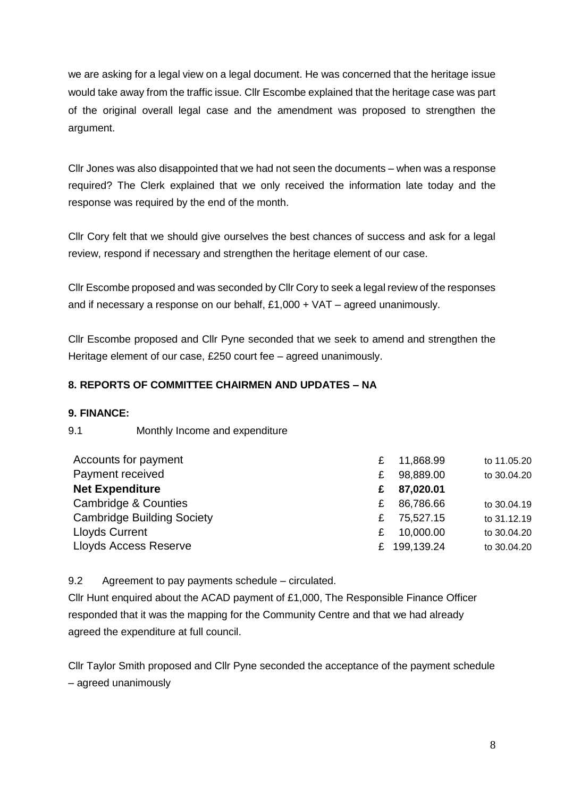we are asking for a legal view on a legal document. He was concerned that the heritage issue would take away from the traffic issue. Cllr Escombe explained that the heritage case was part of the original overall legal case and the amendment was proposed to strengthen the argument.

Cllr Jones was also disappointed that we had not seen the documents – when was a response required? The Clerk explained that we only received the information late today and the response was required by the end of the month.

Cllr Cory felt that we should give ourselves the best chances of success and ask for a legal review, respond if necessary and strengthen the heritage element of our case.

Cllr Escombe proposed and was seconded by Cllr Cory to seek a legal review of the responses and if necessary a response on our behalf, £1,000 + VAT – agreed unanimously.

Cllr Escombe proposed and Cllr Pyne seconded that we seek to amend and strengthen the Heritage element of our case, £250 court fee – agreed unanimously.

#### **8. REPORTS OF COMMITTEE CHAIRMEN AND UPDATES – NA**

#### **9. FINANCE:**

#### 9.1 Monthly Income and expenditure

| £  | 11,868.99 | to 11.05.20 |
|----|-----------|-------------|
| £  | 98,889.00 | to 30.04.20 |
| £  | 87,020.01 |             |
| £  | 86,786.66 | to 30.04.19 |
| £  | 75,527.15 | to 31.12.19 |
| £  | 10,000.00 | to 30.04.20 |
| £. |           | to 30.04.20 |
|    |           | 199,139.24  |

9.2 Agreement to pay payments schedule – circulated.

Cllr Hunt enquired about the ACAD payment of £1,000, The Responsible Finance Officer responded that it was the mapping for the Community Centre and that we had already agreed the expenditure at full council.

Cllr Taylor Smith proposed and Cllr Pyne seconded the acceptance of the payment schedule – agreed unanimously